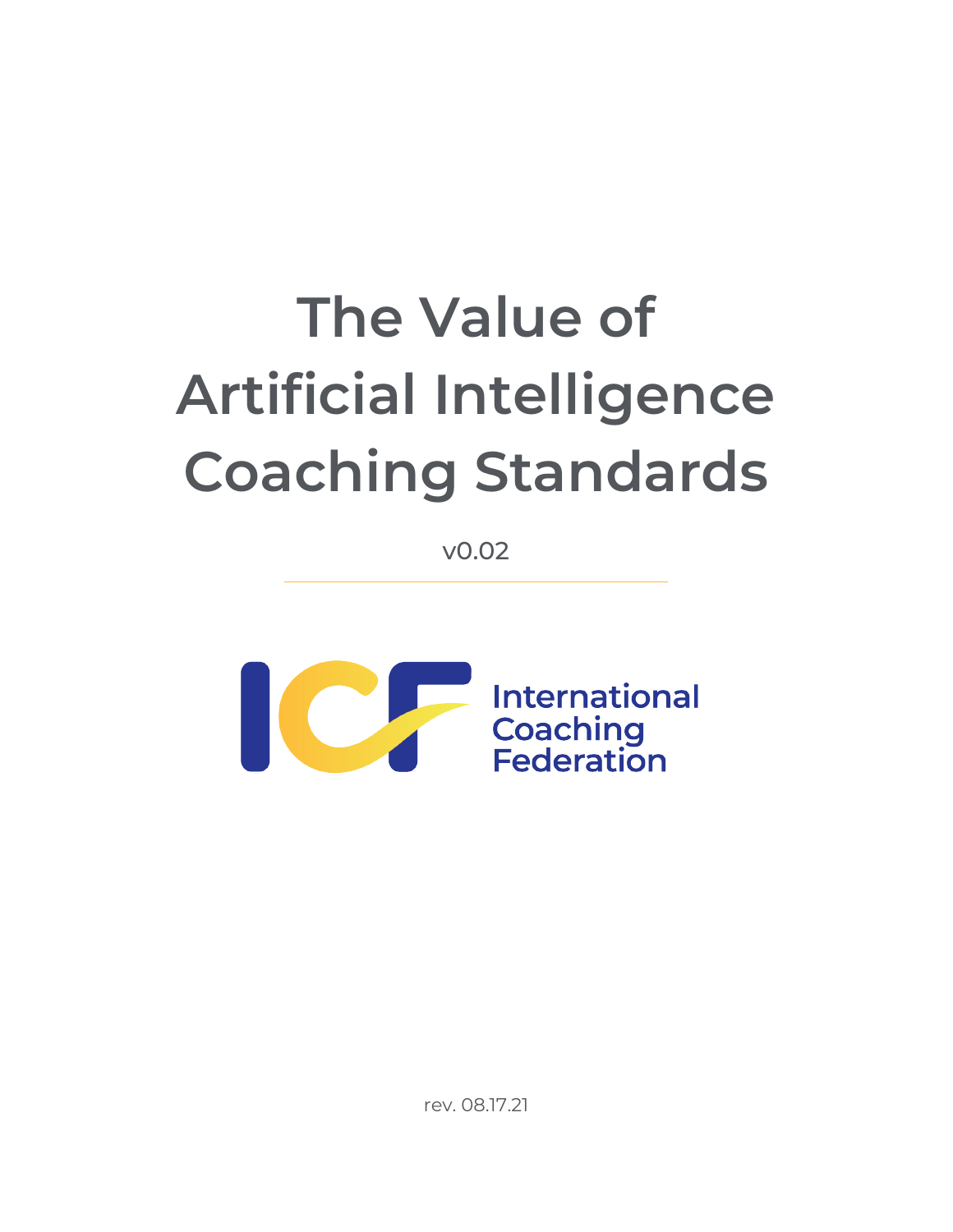## **The Value of Artificial Intelligence Coaching Standards**

v0.02



rev. 08.17.21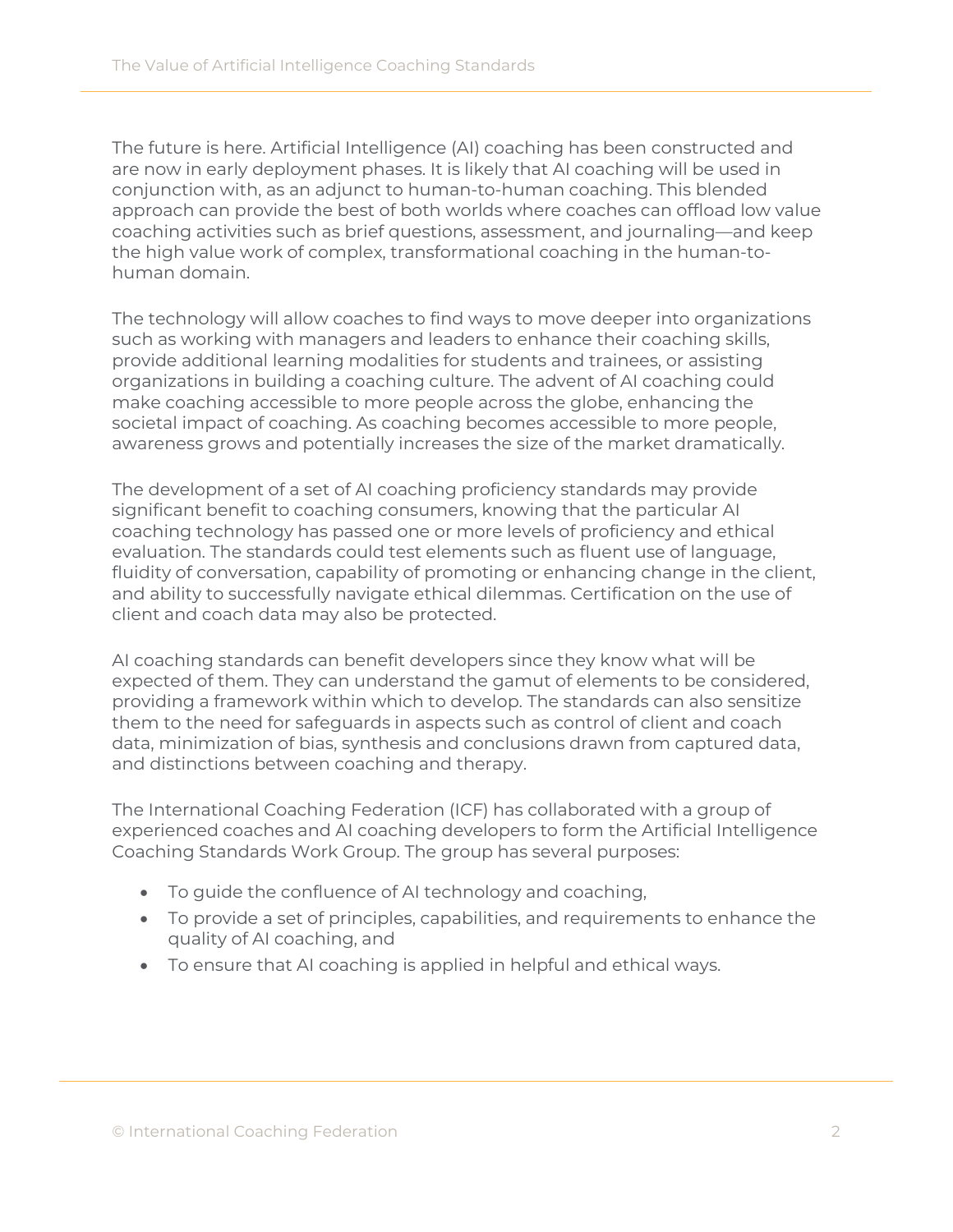The future is here. Artificial Intelligence (AI) coaching has been constructed and are now in early deployment phases. It is likely that AI coaching will be used in conjunction with, as an adjunct to human-to-human coaching. This blended approach can provide the best of both worlds where coaches can offload low value coaching activities such as brief questions, assessment, and journaling—and keep the high value work of complex, transformational coaching in the human-tohuman domain.

The technology will allow coaches to find ways to move deeper into organizations such as working with managers and leaders to enhance their coaching skills, provide additional learning modalities for students and trainees, or assisting organizations in building a coaching culture. The advent of AI coaching could make coaching accessible to more people across the globe, enhancing the societal impact of coaching. As coaching becomes accessible to more people, awareness grows and potentially increases the size of the market dramatically.

The development of a set of AI coaching proficiency standards may provide significant benefit to coaching consumers, knowing that the particular AI coaching technology has passed one or more levels of proficiency and ethical evaluation. The standards could test elements such as fluent use of language, fluidity of conversation, capability of promoting or enhancing change in the client, and ability to successfully navigate ethical dilemmas. Certification on the use of client and coach data may also be protected.

AI coaching standards can benefit developers since they know what will be expected of them. They can understand the gamut of elements to be considered, providing a framework within which to develop. The standards can also sensitize them to the need for safeguards in aspects such as control of client and coach data, minimization of bias, synthesis and conclusions drawn from captured data, and distinctions between coaching and therapy.

The International Coaching Federation (ICF) has collaborated with a group of experienced coaches and AI coaching developers to form the Artificial Intelligence Coaching Standards Work Group. The group has several purposes:

- To guide the confluence of AI technology and coaching,
- To provide a set of principles, capabilities, and requirements to enhance the quality of AI coaching, and
- To ensure that AI coaching is applied in helpful and ethical ways.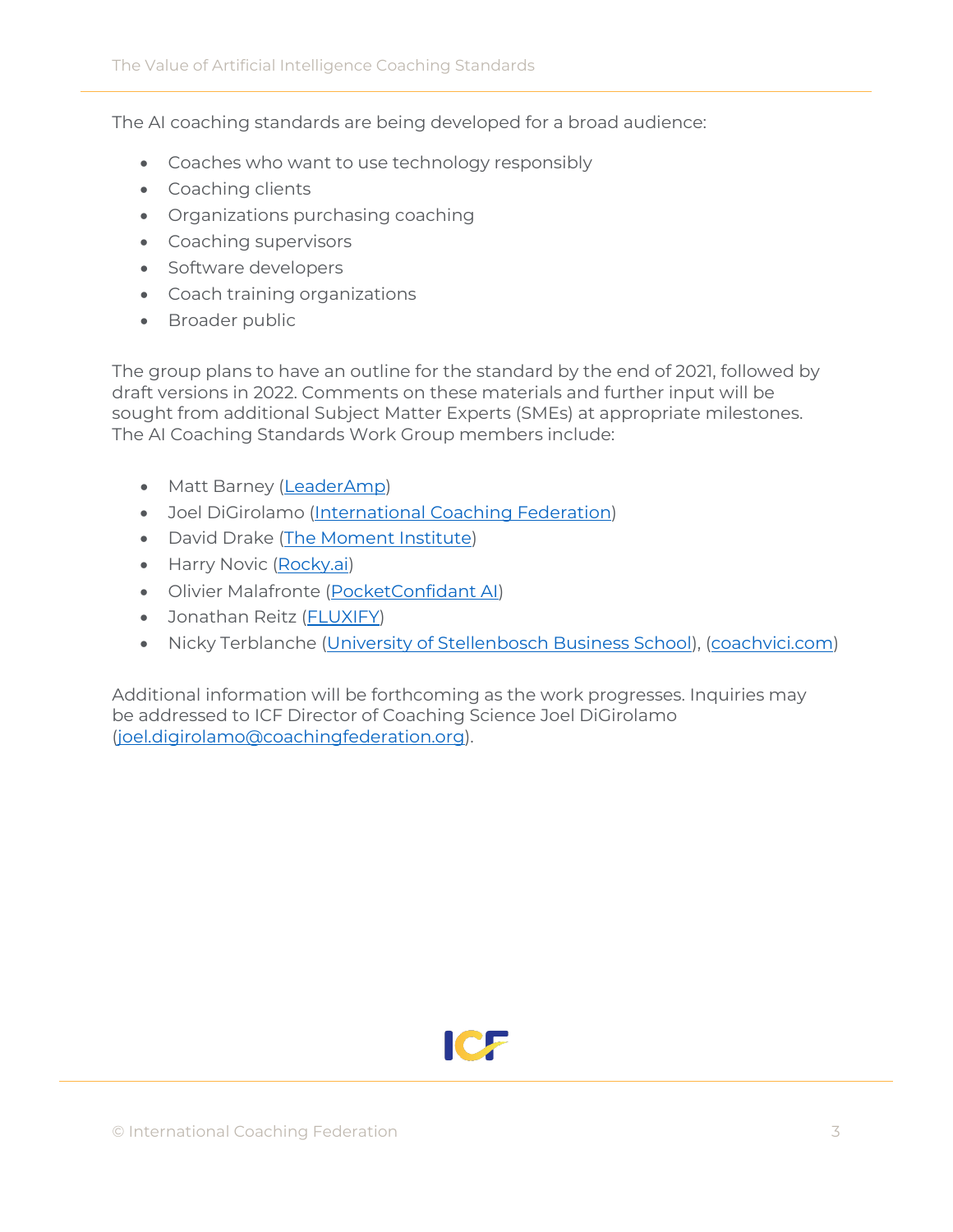The AI coaching standards are being developed for a broad audience:

- Coaches who want to use technology responsibly
- Coaching clients
- Organizations purchasing coaching
- Coaching supervisors
- Software developers
- Coach training organizations
- Broader public

The group plans to have an outline for the standard by the end of 2021, followed by draft versions in 2022. Comments on these materials and further input will be sought from additional Subject Matter Experts (SMEs) at appropriate milestones. The AI Coaching Standards Work Group members include:

- Matt Barney [\(LeaderAmp\)](https://www.leaderamp.com/)
- Joel DiGirolamo [\(International Coaching Federation\)](https://coachingfederation.org/)
- David Drake [\(The Moment Institute\)](https://www.themomentinstitute.com/)
- Harry Novic [\(Rocky.ai\)](https://www.rocky.ai/)
- Olivier Malafronte [\(PocketConfidant AI\)](http://pocketconfidant.com/)
- Jonathan Reitz [\(FLUXIFY\)](http://fluxify.xyz/)
- Nicky Terblanche [\(University of Stellenbosch Business School\)](https://www.usb.ac.za/), [\(coachvici.com\)](https://coachvici.com/)

Additional information will be forthcoming as the work progresses. Inquiries may be addressed to ICF Director of Coaching Science Joel DiGirolamo [\(joel.digirolamo@coachingfederation.org\)](mailto:joel.digirolamo@coachingfederation.org).